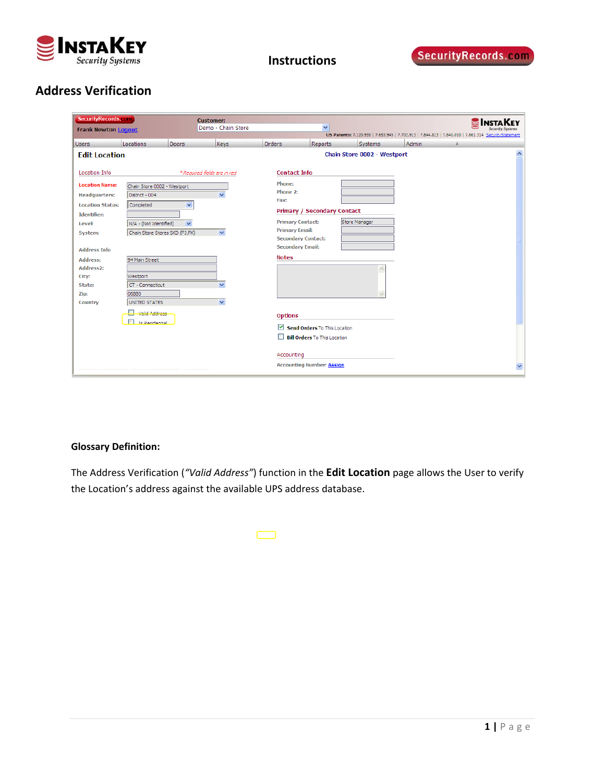

## **Address Verification**

| SecurityRecords.com<br><b>Frank Newton Logout</b>                                                                                                                                                                      |                                                                                                                                                                                                    |                   | <b>Customer:</b><br>Demo - Chain Store            |                                                                                                                                                        | v                                                                                                       |               |              | Insta Key<br>US Patents: 7,120,935   7,653,945   7,702,913   7,844,823   7,840,010   7,861,314 Security Statement |
|------------------------------------------------------------------------------------------------------------------------------------------------------------------------------------------------------------------------|----------------------------------------------------------------------------------------------------------------------------------------------------------------------------------------------------|-------------------|---------------------------------------------------|--------------------------------------------------------------------------------------------------------------------------------------------------------|---------------------------------------------------------------------------------------------------------|---------------|--------------|-------------------------------------------------------------------------------------------------------------------|
| <b>Users</b>                                                                                                                                                                                                           | <b>Locations</b>                                                                                                                                                                                   | <b>Doors</b>      | Keys                                              | <b>Orders</b>                                                                                                                                          | Reports                                                                                                 | Systems       | <b>Admin</b> |                                                                                                                   |
| <b>Edit Location</b>                                                                                                                                                                                                   |                                                                                                                                                                                                    |                   |                                                   | $\overline{\phantom{a}}$<br>Chain Store 0002 - Westport                                                                                                |                                                                                                         |               |              |                                                                                                                   |
| Location Info                                                                                                                                                                                                          |                                                                                                                                                                                                    |                   | *Required fields are in red                       | <b>Contact Info</b>                                                                                                                                    |                                                                                                         |               |              |                                                                                                                   |
| <b>Location Name:</b><br><b>Headquarters:</b><br><b>Location Status:</b><br><b>Identifier:</b><br>Level:<br>System:<br><b>Address Info</b><br>Address:<br>Address <sub>2</sub> :<br>City:<br>State:<br>Zip:<br>Country | Chain Store 0002 - Westport<br>District - 004<br>Completed<br>N/A - (Not Identified)<br>Chain Store Stores SKD (FJ,FK)<br>94 Main Street<br>Westport<br>CT - Connecticut<br>06880<br>UNITED STATES | ×<br>$\checkmark$ | v<br>$\checkmark$<br>v<br>$\overline{\mathbf{v}}$ | Phone:<br>Phone 2:<br>Fax:<br><b>Primary Contact:</b><br><b>Primary Email:</b><br><b>Secondary Contact:</b><br><b>Secondary Email:</b><br><b>Notes</b> | <b>Primary / Secondary Contact</b>                                                                      | Store Manager |              |                                                                                                                   |
|                                                                                                                                                                                                                        | Valid Address<br><b>Is Residential</b>                                                                                                                                                             |                   |                                                   | <b>Options</b><br>Accounting                                                                                                                           | Send Orders To This Location<br><b>Bill Orders To This Location</b><br><b>Accounting Number: Assign</b> |               |              | $\checkmark$                                                                                                      |

## **Glossary Definition:**

The Address Verification (*"Valid Address"*) function in the **Edit Location** page allows the User to verify the Location's address against the available UPS address database.

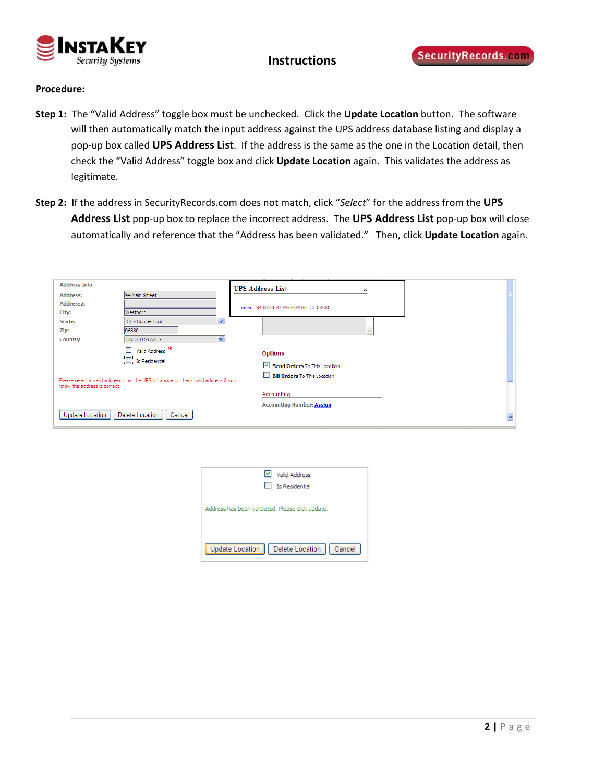

## **Procedure:**

- **Step 1:** The "Valid Address" toggle box must be unchecked. Click the **Update Location** button. The software will then automatically match the input address against the UPS address database listing and display a pop‐up box called **UPS Address List**. If the address is the same as the one in the Location detail, then check the "Valid Address" toggle box and click **Update Location** again. This validates the address as legitimate.
- **Step 2:** If the address in SecurityRecords.com does not match, click "*Select*" for the address from the **UPS Address List** pop‐up box to replace the incorrect address. The **UPS Address List** pop‐up box will close automatically and reference that the "Address has been validated." Then, click **Update Location** again.

| <b>Address Info</b>          |                                                                                                                                                  | <b>UPS Address List</b><br>х                                                          |  |  |  |
|------------------------------|--------------------------------------------------------------------------------------------------------------------------------------------------|---------------------------------------------------------------------------------------|--|--|--|
| <b>Address:</b>              | 94 Main Street                                                                                                                                   |                                                                                       |  |  |  |
| Address2:                    |                                                                                                                                                  | select 94 MAIN ST WESTPORT CT 06880                                                   |  |  |  |
| City:                        | Westport                                                                                                                                         |                                                                                       |  |  |  |
| State:                       | v<br>CT - Connecticut                                                                                                                            |                                                                                       |  |  |  |
| Zip:                         | 06880                                                                                                                                            |                                                                                       |  |  |  |
| Country                      | UNITED STATES<br>$\checkmark$                                                                                                                    |                                                                                       |  |  |  |
|                              | Valid Address <sup>**</sup><br>n<br>$\Box$ Is Residential<br>Please select a valid address from the UPS list above or check valid address if you | <b>Options</b><br>Send Orders To This Location<br><b>Bill Orders</b> To This Location |  |  |  |
| know the address is correct. |                                                                                                                                                  |                                                                                       |  |  |  |
|                              |                                                                                                                                                  | Accounting                                                                            |  |  |  |
| Update Location              | Delete Location<br>Cancel                                                                                                                        | <b>Accounting Number: Assign</b>                                                      |  |  |  |
|                              |                                                                                                                                                  |                                                                                       |  |  |  |

| <b>Valid Address</b>                             |
|--------------------------------------------------|
| <b>Is Residential</b>                            |
| Address has been validated. Please click update. |
| Delete Location   Cancel<br>Update Location      |